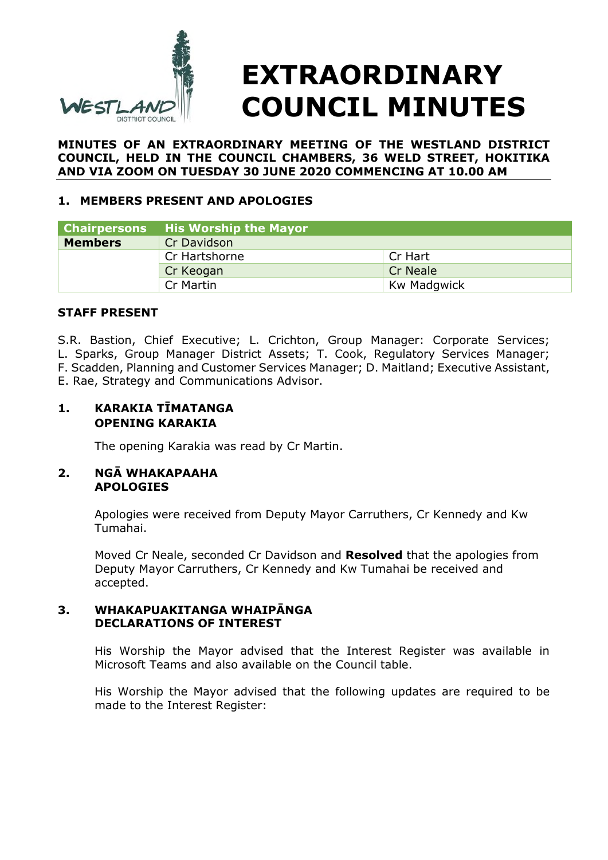

**MINUTES OF AN EXTRAORDINARY MEETING OF THE WESTLAND DISTRICT COUNCIL, HELD IN THE COUNCIL CHAMBERS, 36 WELD STREET, HOKITIKA AND VIA ZOOM ON TUESDAY 30 JUNE 2020 COMMENCING AT 10.00 AM** 

# **1. MEMBERS PRESENT AND APOLOGIES**

| <b>Chairpersons</b> | His Worship the Mayor |             |  |
|---------------------|-----------------------|-------------|--|
| <b>Members</b>      | Cr Davidson           |             |  |
|                     | Cr Hartshorne         | Cr Hart     |  |
|                     | Cr Keogan             | Cr Neale    |  |
|                     | Cr Martin             | Kw Madgwick |  |

#### **STAFF PRESENT**

S.R. Bastion, Chief Executive; L. Crichton, Group Manager: Corporate Services; L. Sparks, Group Manager District Assets; T. Cook, Regulatory Services Manager; F. Scadden, Planning and Customer Services Manager; D. Maitland; Executive Assistant, E. Rae, Strategy and Communications Advisor.

### **1. KARAKIA TĪMATANGA OPENING KARAKIA**

The opening Karakia was read by Cr Martin.

#### **2. NGĀ WHAKAPAAHA APOLOGIES**

Apologies were received from Deputy Mayor Carruthers, Cr Kennedy and Kw Tumahai.

Moved Cr Neale, seconded Cr Davidson and **Resolved** that the apologies from Deputy Mayor Carruthers, Cr Kennedy and Kw Tumahai be received and accepted.

#### **3. WHAKAPUAKITANGA WHAIPĀNGA DECLARATIONS OF INTEREST**

His Worship the Mayor advised that the Interest Register was available in Microsoft Teams and also available on the Council table.

His Worship the Mayor advised that the following updates are required to be made to the Interest Register: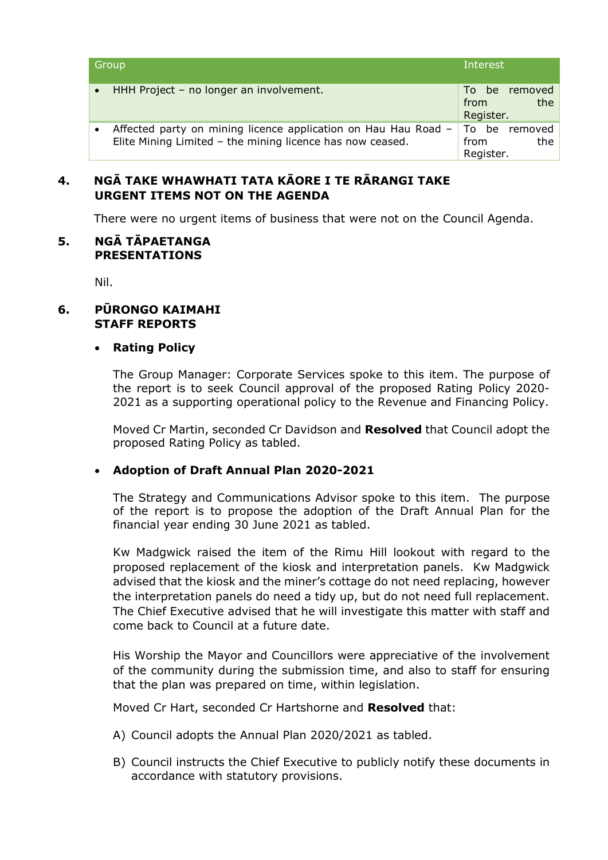| Group                                                                                                                       | <b>Interest</b>                           |
|-----------------------------------------------------------------------------------------------------------------------------|-------------------------------------------|
| HHH Project - no longer an involvement.<br>$\bullet$                                                                        | To be removed<br>the<br>from<br>Register. |
| Affected party on mining licence application on Hau Hau Road -<br>Elite Mining Limited - the mining licence has now ceased. | To be removed<br>the<br>from<br>Register. |

# **4. NGĀ TAKE WHAWHATI TATA KĀORE I TE RĀRANGI TAKE URGENT ITEMS NOT ON THE AGENDA**

There were no urgent items of business that were not on the Council Agenda.

#### **5. NGĀ TĀPAETANGA PRESENTATIONS**

Nil.

# **6. PŪRONGO KAIMAHI STAFF REPORTS**

### **Rating Policy**

The Group Manager: Corporate Services spoke to this item. The purpose of the report is to seek Council approval of the proposed Rating Policy 2020- 2021 as a supporting operational policy to the Revenue and Financing Policy.

Moved Cr Martin, seconded Cr Davidson and **Resolved** that Council adopt the proposed Rating Policy as tabled.

### **Adoption of Draft Annual Plan 2020-2021**

The Strategy and Communications Advisor spoke to this item. The purpose of the report is to propose the adoption of the Draft Annual Plan for the financial year ending 30 June 2021 as tabled.

Kw Madgwick raised the item of the Rimu Hill lookout with regard to the proposed replacement of the kiosk and interpretation panels. Kw Madgwick advised that the kiosk and the miner's cottage do not need replacing, however the interpretation panels do need a tidy up, but do not need full replacement. The Chief Executive advised that he will investigate this matter with staff and come back to Council at a future date.

His Worship the Mayor and Councillors were appreciative of the involvement of the community during the submission time, and also to staff for ensuring that the plan was prepared on time, within legislation.

Moved Cr Hart, seconded Cr Hartshorne and **Resolved** that:

- A) Council adopts the Annual Plan 2020/2021 as tabled.
- B) Council instructs the Chief Executive to publicly notify these documents in accordance with statutory provisions.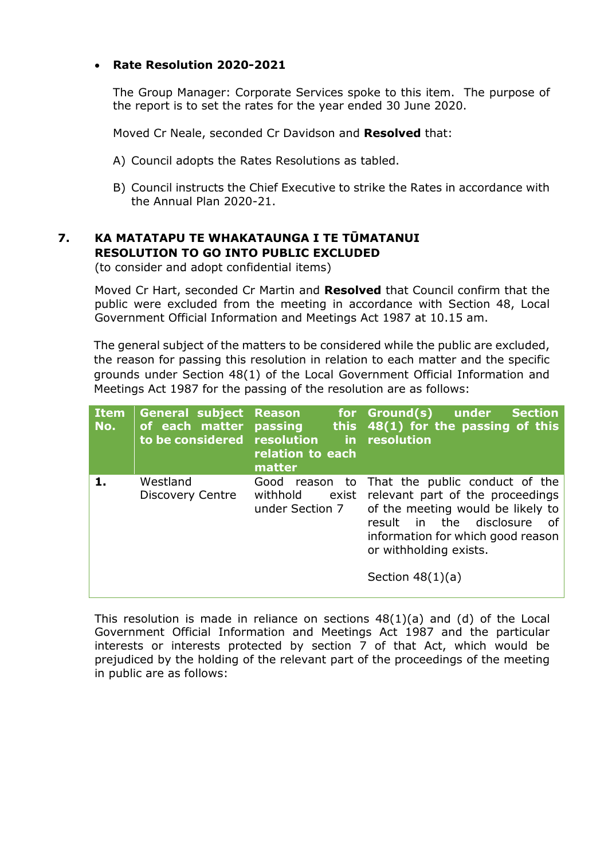# **Rate Resolution 2020-2021**

The Group Manager: Corporate Services spoke to this item. The purpose of the report is to set the rates for the year ended 30 June 2020.

Moved Cr Neale, seconded Cr Davidson and **Resolved** that:

- A) Council adopts the Rates Resolutions as tabled.
- B) Council instructs the Chief Executive to strike the Rates in accordance with the Annual Plan 2020-21.

# **7. KA MATATAPU TE WHAKATAUNGA I TE TŪMATANUI RESOLUTION TO GO INTO PUBLIC EXCLUDED**

(to consider and adopt confidential items)

Moved Cr Hart, seconded Cr Martin and **Resolved** that Council confirm that the public were excluded from the meeting in accordance with Section 48, Local Government Official Information and Meetings Act 1987 at 10.15 am.

The general subject of the matters to be considered while the public are excluded, the reason for passing this resolution in relation to each matter and the specific grounds under Section 48(1) of the Local Government Official Information and Meetings Act 1987 for the passing of the resolution are as follows:

| <b>Item</b><br>No. | <b>General subject Reason</b><br>of each matter<br>to be considered resolution | <b>passing</b><br>relation to each<br>matter | for Ground(s) under<br><b>Section</b><br>this $48(1)$ for the passing of this<br>in resolution                                                                                                                                              |
|--------------------|--------------------------------------------------------------------------------|----------------------------------------------|---------------------------------------------------------------------------------------------------------------------------------------------------------------------------------------------------------------------------------------------|
| 1.                 | Westland<br>Discovery Centre                                                   | Good<br>withhold<br>exist<br>under Section 7 | reason to That the public conduct of the<br>relevant part of the proceedings<br>of the meeting would be likely to<br>in the disclosure<br>result<br>οf<br>information for which good reason<br>or withholding exists.<br>Section $48(1)(a)$ |

This resolution is made in reliance on sections  $48(1)(a)$  and (d) of the Local Government Official Information and Meetings Act 1987 and the particular interests or interests protected by section 7 of that Act, which would be prejudiced by the holding of the relevant part of the proceedings of the meeting in public are as follows: